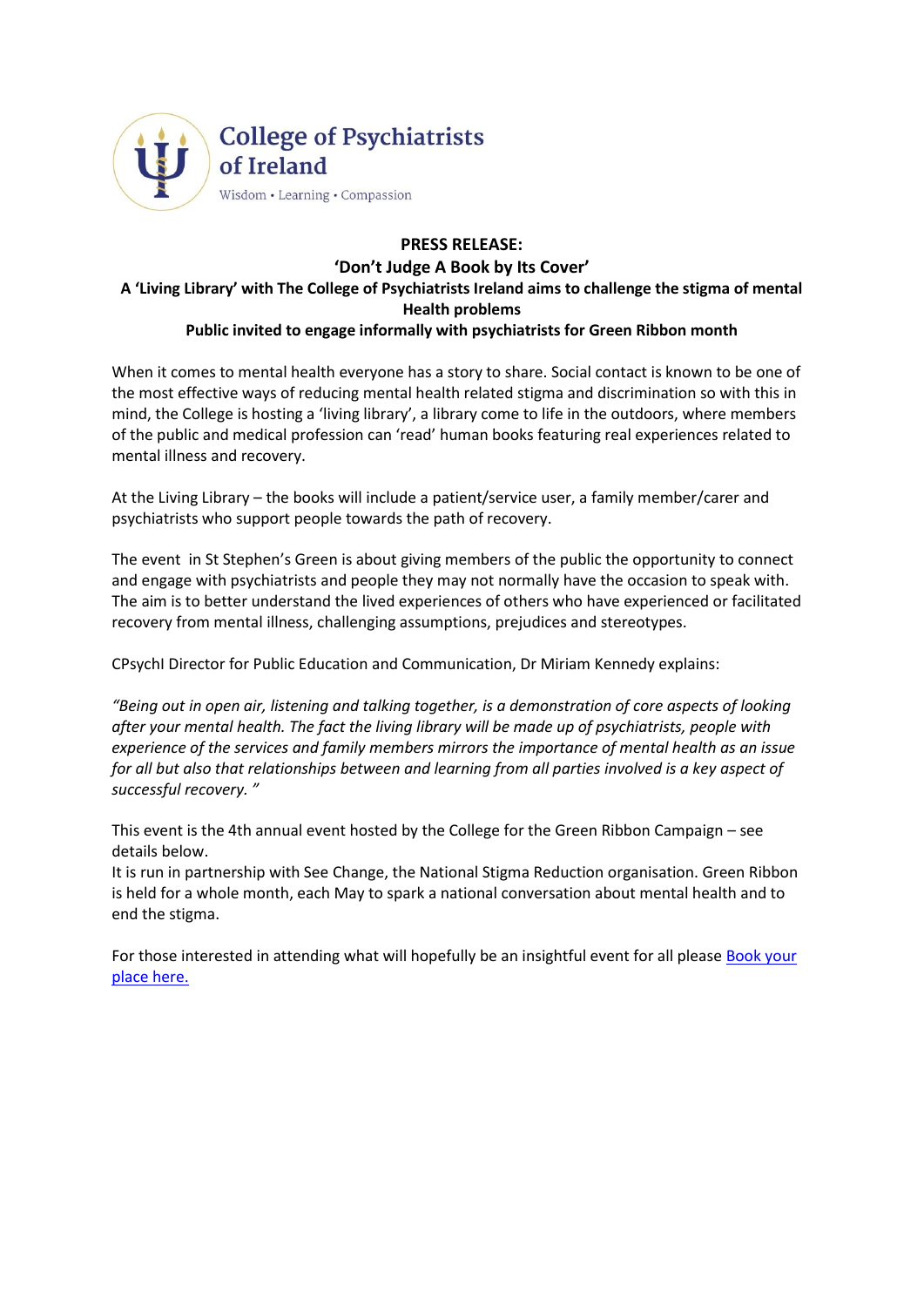

## **PRESS RELEASE: 'Don't Judge A Book by Its Cover' A 'Living Library' with The College of Psychiatrists Ireland aims to challenge the stigma of mental Health problems Public invited to engage informally with psychiatrists for Green Ribbon month**

When it comes to mental health everyone has a story to share. Social contact is known to be one of the most effective ways of reducing mental health related stigma and discrimination so with this in mind, the College is hosting a 'living library', a library come to life in the outdoors, where members of the public and medical profession can 'read' human books featuring real experiences related to mental illness and recovery.

At the Living Library – the books will include a patient/service user, a family member/carer and psychiatrists who support people towards the path of recovery.

The event in St Stephen's Green is about giving members of the public the opportunity to connect and engage with psychiatrists and people they may not normally have the occasion to speak with. The aim is to better understand the lived experiences of others who have experienced or facilitated recovery from mental illness, challenging assumptions, prejudices and stereotypes.

CPsychI Director for Public Education and Communication, Dr Miriam Kennedy explains:

*"Being out in open air, listening and talking together, is a demonstration of core aspects of looking after your mental health. The fact the living library will be made up of psychiatrists, people with experience of the services and family members mirrors the importance of mental health as an issue for all but also that relationships between and learning from all parties involved is a key aspect of successful recovery. "* 

This event is the 4th annual event hosted by the College for the Green Ribbon Campaign – see details below.

It is run in partnership with See Change, the National Stigma Reduction organisation. Green Ribbon is held for a whole month, each May to spark a national conversation about mental health and to end the stigma.

For those interested in attending what will hopefully be an insightful event for all please [Book your](https://www.eventbrite.ie/e/living-library-for-green-ribbon-month-tickets-45972923251)  [place here.](https://www.eventbrite.ie/e/living-library-for-green-ribbon-month-tickets-45972923251)